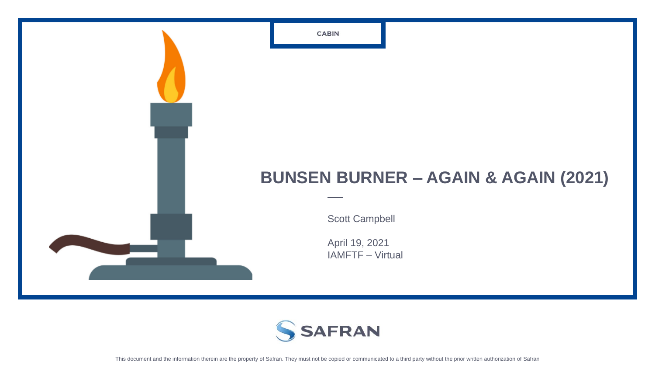## **BUNSEN BURNER – AGAIN & AGAIN (2021)**

Scott Campbell

April 19, 2021 IAMFTF – Virtual



**CABIN**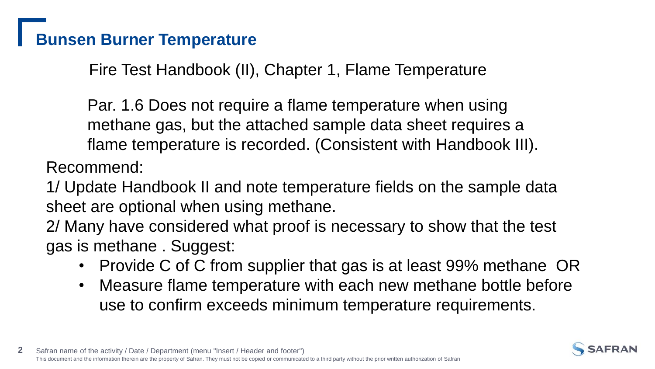# **Bunsen Burner Temperature**

Fire Test Handbook (II), Chapter 1, Flame Temperature

Par. 1.6 Does not require a flame temperature when using methane gas, but the attached sample data sheet requires a flame temperature is recorded. (Consistent with Handbook III).

Recommend:

1/ Update Handbook II and note temperature fields on the sample data sheet are optional when using methane.

2/ Many have considered what proof is necessary to show that the test gas is methane . Suggest:

- Provide C of C from supplier that gas is at least 99% methane OR
- Measure flame temperature with each new methane bottle before use to confirm exceeds minimum temperature requirements.

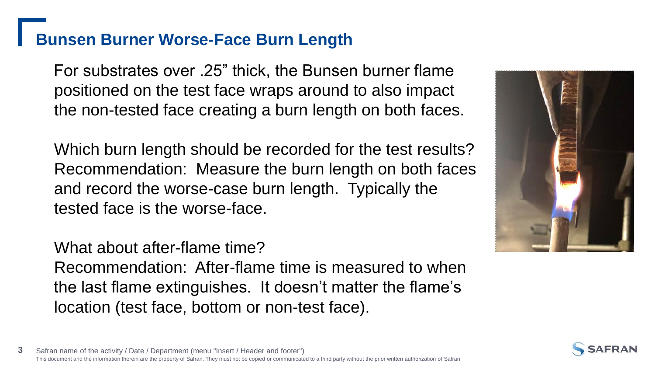## **Bunsen Burner Worse-Face Burn Length**

For substrates over .25" thick, the Bunsen burner flame positioned on the test face wraps around to also impact the non-tested face creating a burn length on both faces.

Which burn length should be recorded for the test results? Recommendation: Measure the burn length on both faces and record the worse-case burn length. Typically the tested face is the worse-face.

What about after-flame time?

Recommendation: After-flame time is measured to when the last flame extinguishes. It doesn't matter the flame's location (test face, bottom or non-test face).



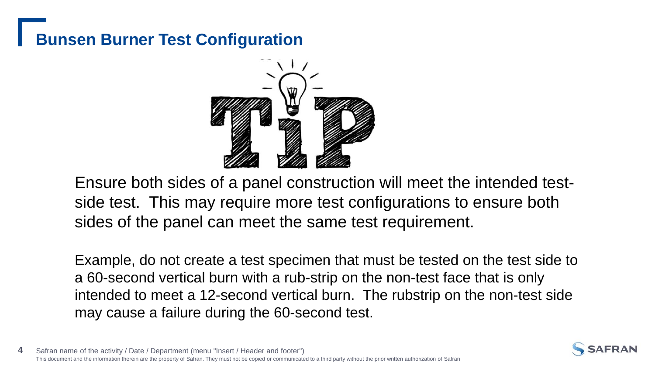# **Bunsen Burner Test Configuration**



Ensure both sides of a panel construction will meet the intended testside test. This may require more test configurations to ensure both sides of the panel can meet the same test requirement.

Example, do not create a test specimen that must be tested on the test side to a 60-second vertical burn with a rub-strip on the non-test face that is only intended to meet a 12-second vertical burn. The rubstrip on the non-test side may cause a failure during the 60-second test.